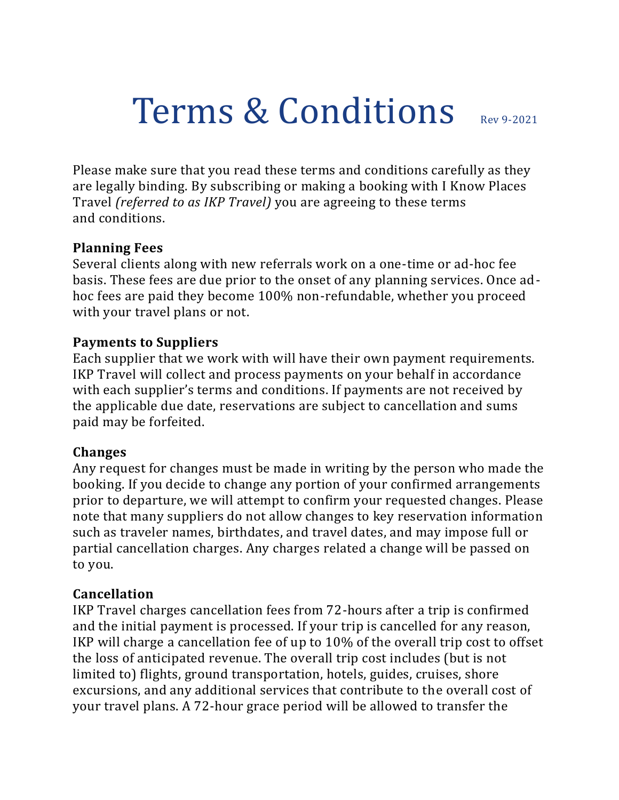# Terms & Conditions Rev 9-2021

Please make sure that you read these terms and conditions carefully as they are legally binding. By subscribing or making a booking with I Know Places Travel *(referred to as IKP Travel)* you are agreeing to these terms and conditions.

#### **Planning Fees**

Several clients along with new referrals work on a one-time or ad-hoc fee basis. These fees are due prior to the onset of any planning services. Once adhoc fees are paid they become 100% non-refundable, whether you proceed with your travel plans or not.

#### **Payments to Suppliers**

Each supplier that we work with will have their own payment requirements. IKP Travel will collect and process payments on your behalf in accordance with each supplier's terms and conditions. If payments are not received by the applicable due date, reservations are subject to cancellation and sums paid may be forfeited.

#### **Changes**

Any request for changes must be made in writing by the person who made the booking. If you decide to change any portion of your confirmed arrangements prior to departure, we will attempt to confirm your requested changes. Please note that many suppliers do not allow changes to key reservation information such as traveler names, birthdates, and travel dates, and may impose full or partial cancellation charges. Any charges related a change will be passed on to you.

#### **Cancellation**

IKP Travel charges cancellation fees from 72-hours after a trip is confirmed and the initial payment is processed. If your trip is cancelled for any reason, IKP will charge a cancellation fee of up to 10% of the overall trip cost to offset the loss of anticipated revenue. The overall trip cost includes (but is not limited to) flights, ground transportation, hotels, guides, cruises, shore excursions, and any additional services that contribute to the overall cost of your travel plans. A 72-hour grace period will be allowed to transfer the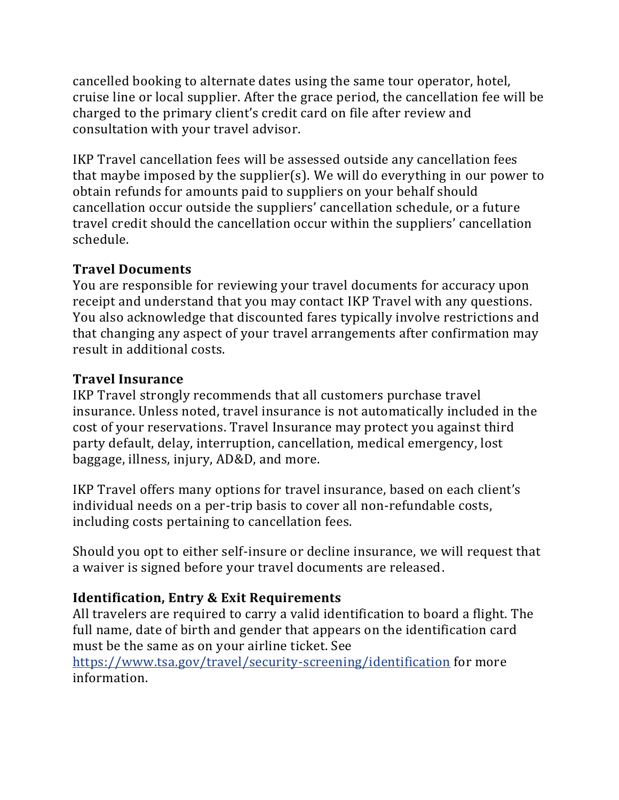cancelled booking to alternate dates using the same tour operator, hotel, cruise line or local supplier. After the grace period, the cancellation fee will be charged to the primary client's credit card on file after review and consultation with your travel advisor.

IKP Travel cancellation fees will be assessed outside any cancellation fees that maybe imposed by the supplier(s). We will do everything in our power to obtain refunds for amounts paid to suppliers on your behalf should cancellation occur outside the suppliers' cancellation schedule, or a future travel credit should the cancellation occur within the suppliers' cancellation schedule.

#### **Travel Documents**

You are responsible for reviewing your travel documents for accuracy upon receipt and understand that you may contact IKP Travel with any questions. You also acknowledge that discounted fares typically involve restrictions and that changing any aspect of your travel arrangements after confirmation may result in additional costs.

## **Travel Insurance**

IKP Travel strongly recommends that all customers purchase travel insurance. Unless noted, travel insurance is not automatically included in the cost of your reservations. Travel Insurance may protect you against third party default, delay, interruption, cancellation, medical emergency, lost baggage, illness, injury, AD&D, and more.

IKP Travel offers many options for travel insurance, based on each client's individual needs on a per-trip basis to cover all non-refundable costs, including costs pertaining to cancellation fees.

Should you opt to either self-insure or decline insurance, we will request that a waiver is signed before your travel documents are released.

# **Identification, Entry & Exit Requirements**

All travelers are required to carry a valid identification to board a flight. The full name, date of birth and gender that appears on the identification card must be the same as on your airline ticket. See

<https://www.tsa.gov/travel/security-screening/identification> for more information.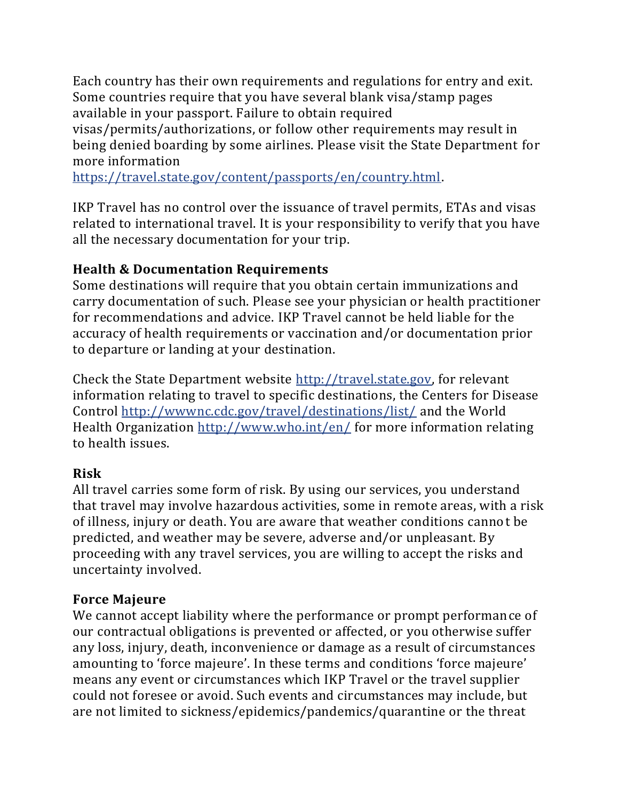Each country has their own requirements and regulations for entry and exit. Some countries require that you have several blank visa/stamp pages available in your passport. Failure to obtain required

visas/permits/authorizations, or follow other requirements may result in being denied boarding by some airlines. Please visit the State Department for more information

[https://travel.state.gov/content/passports/en/country.html.](https://travel.state.gov/content/passports/en/country.html)

IKP Travel has no control over the issuance of travel permits, ETAs and visas related to international travel. It is your responsibility to verify that you have all the necessary documentation for your trip.

## **Health & Documentation Requirements**

Some destinations will require that you obtain certain immunizations and carry documentation of such. Please see your physician or health practitioner for recommendations and advice. IKP Travel cannot be held liable for the accuracy of health requirements or vaccination and/or documentation prior to departure or landing at your destination.

Check the State Department website [http://travel.state.gov,](http://travel.state.gov/) for relevant information relating to travel to specific destinations, the Centers for Disease Control <http://wwwnc.cdc.gov/travel/destinations/list/> and the World Health Organization <http://www.who.int/en/> for more information relating to health issues.

#### **Risk**

All travel carries some form of risk. By using our services, you understand that travel may involve hazardous activities, some in remote areas, with a risk of illness, injury or death. You are aware that weather conditions cannot be predicted, and weather may be severe, adverse and/or unpleasant. By proceeding with any travel services, you are willing to accept the risks and uncertainty involved.

#### **Force Majeure**

We cannot accept liability where the performance or prompt performance of our contractual obligations is prevented or affected, or you otherwise suffer any loss, injury, death, inconvenience or damage as a result of circumstances amounting to 'force majeure'. In these terms and conditions 'force majeure' means any event or circumstances which IKP Travel or the travel supplier could not foresee or avoid. Such events and circumstances may include, but are not limited to sickness/epidemics/pandemics/quarantine or the threat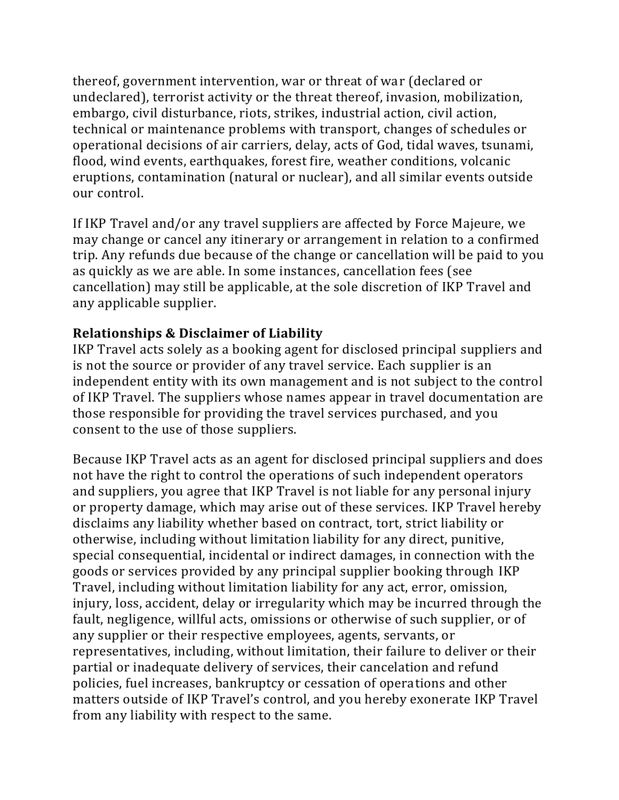thereof, government intervention, war or threat of war (declared or undeclared), terrorist activity or the threat thereof, invasion, mobilization, embargo, civil disturbance, riots, strikes, industrial action, civil action, technical or maintenance problems with transport, changes of schedules or operational decisions of air carriers, delay, acts of God, tidal waves, tsunami, flood, wind events, earthquakes, forest fire, weather conditions, volcanic eruptions, contamination (natural or nuclear), and all similar events outside our control.

If IKP Travel and/or any travel suppliers are affected by Force Majeure, we may change or cancel any itinerary or arrangement in relation to a confirmed trip. Any refunds due because of the change or cancellation will be paid to you as quickly as we are able. In some instances, cancellation fees (see cancellation) may still be applicable, at the sole discretion of IKP Travel and any applicable supplier.

## **Relationships & Disclaimer of Liability**

IKP Travel acts solely as a booking agent for disclosed principal suppliers and is not the source or provider of any travel service. Each supplier is an independent entity with its own management and is not subject to the control of IKP Travel. The suppliers whose names appear in travel documentation are those responsible for providing the travel services purchased, and you consent to the use of those suppliers.

Because IKP Travel acts as an agent for disclosed principal suppliers and does not have the right to control the operations of such independent operators and suppliers, you agree that IKP Travel is not liable for any personal injury or property damage, which may arise out of these services. IKP Travel hereby disclaims any liability whether based on contract, tort, strict liability or otherwise, including without limitation liability for any direct, punitive, special consequential, incidental or indirect damages, in connection with the goods or services provided by any principal supplier booking through IKP Travel, including without limitation liability for any act, error, omission, injury, loss, accident, delay or irregularity which may be incurred through the fault, negligence, willful acts, omissions or otherwise of such supplier, or of any supplier or their respective employees, agents, servants, or representatives, including, without limitation, their failure to deliver or their partial or inadequate delivery of services, their cancelation and refund policies, fuel increases, bankruptcy or cessation of operations and other matters outside of IKP Travel's control, and you hereby exonerate IKP Travel from any liability with respect to the same.